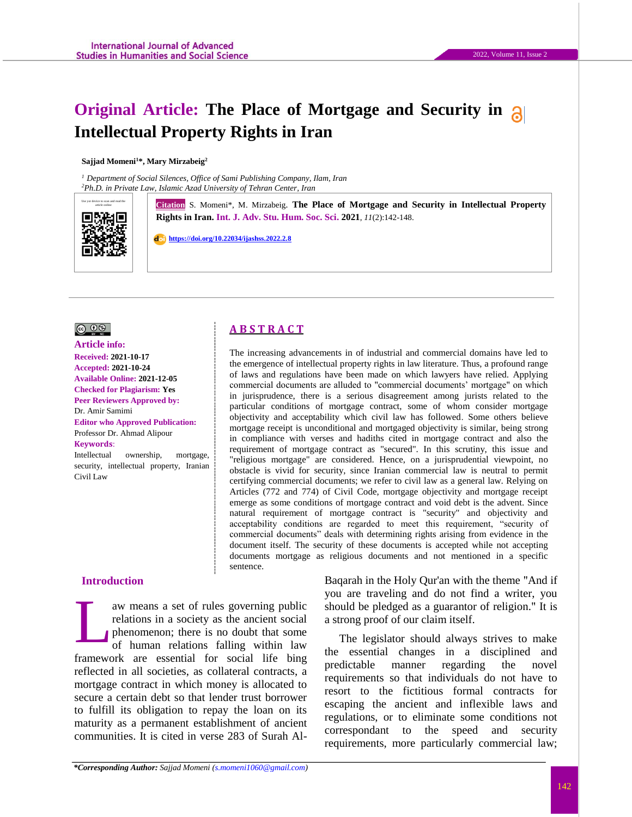# **Original Article: The Place of Mortgage and Security in Intellectual Property Rights in Iran**

#### **Sajjad Momeni<sup>1</sup>\*, Mary Mirzabeig<sup>2</sup>**

*<sup>1</sup> Department of Social Silences, Office of Sami Publishing Company, Ilam, Iran <sup>2</sup>Ph.D. in Private Law, Islamic Azad University of Tehran Center, Iran*



Gitation S. Momeni\*, M. Mirzabeig. The Place of Mortgage and Security in Intellectual Property **Rights in Iran. Int. J. Adv. Stu. Hum. Soc. Sci. 2021**, *11*(2):142-148.

 **[https://doi.org/10.22034/ijashss.2022.2.8](https://doi.org/10.22034/ijashss.2022.2.6)**

# $\circledcirc$   $\circledcirc$

**Article info: Received: 2021-10-17 Accepted: 2021-10-24 Available Online: 2021-12-05 Checked for Plagiarism: Yes Peer Reviewers Approved by:**  Dr. Amir Samimi **Editor who Approved Publication:**  [Professor Dr. Ahmad Alipour](http://www.ijashss.com/journal/editorial.board?edbc=8091) **Keywords**:

Intellectual ownership, mortgage, security, intellectual property, Iranian Civil Law

# **Introduction**

aw means a set of rules governing public relations in a society as the ancient social phenomenon; there is no doubt that some of human relations falling within law framework are essential for social life bing reflected in all societies, as collateral contracts, a mortgage contract in which money is allocated to secure a certain debt so that lender trust borrower to fulfill its obligation to repay the loan on its maturity as a permanent establishment of ancient communities. It is cited in verse 283 of Surah Al-L

Baqarah in the Holy Qur'an with the theme "And if you are traveling and do not find a writer, you should be pledged as a guarantor of religion." It is a strong proof of our claim itself.

The legislator should always strives to make the essential changes in a disciplined and predictable manner regarding the novel requirements so that individuals do not have to resort to the fictitious formal contracts for escaping the ancient and inflexible laws and regulations, or to eliminate some conditions not correspondant to the speed and security requirements, more particularly commercial law;

# **A B S T R A C T**

The increasing advancements in of industrial and commercial domains have led to the emergence of intellectual property rights in law literature. Thus, a profound range of laws and regulations have been made on which lawyers have relied. Applying commercial documents are alluded to "commercial documents' mortgage" on which in jurisprudence, there is a serious disagreement among jurists related to the particular conditions of mortgage contract, some of whom consider mortgage objectivity and acceptability which civil law has followed. Some others believe mortgage receipt is unconditional and mortgaged objectivity is similar, being strong in compliance with verses and hadiths cited in mortgage contract and also the requirement of mortgage contract as "secured". In this scrutiny, this issue and "religious mortgage" are considered. Hence, on a jurisprudential viewpoint, no obstacle is vivid for security, since Iranian commercial law is neutral to permit certifying commercial documents; we refer to civil law as a general law. Relying on Articles (772 and 774) of Civil Code, mortgage objectivity and mortgage receipt emerge as some conditions of mortgage contract and void debt is the advent. Since natural requirement of mortgage contract is "security" and objectivity and acceptability conditions are regarded to meet this requirement, "security of commercial documents" deals with determining rights arising from evidence in the document itself. The security of these documents is accepted while not accepting documents mortgage as religious documents and not mentioned in a specific sentence.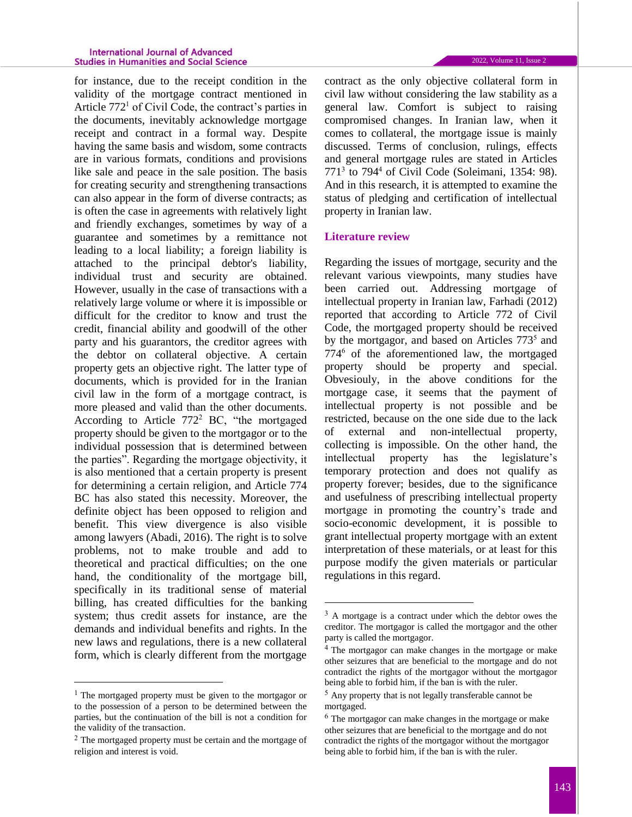#### **International Journal of Advanced Studies in Humanities and Social Science**

for instance, due to the receipt condition in the validity of the mortgage contract mentioned in Article 772<sup>1</sup> of Civil Code, the contract's parties in the documents, inevitably acknowledge mortgage receipt and contract in a formal way. Despite having the same basis and wisdom, some contracts are in various formats, conditions and provisions like sale and peace in the sale position. The basis for creating security and strengthening transactions can also appear in the form of diverse contracts; as is often the case in agreements with relatively light and friendly exchanges, sometimes by way of a guarantee and sometimes by a remittance not leading to a local liability; a foreign liability is attached to the principal debtor's liability, individual trust and security are obtained. However, usually in the case of transactions with a relatively large volume or where it is impossible or difficult for the creditor to know and trust the credit, financial ability and goodwill of the other party and his guarantors, the creditor agrees with the debtor on collateral objective. A certain property gets an objective right. The latter type of documents, which is provided for in the Iranian civil law in the form of a mortgage contract, is more pleased and valid than the other documents. According to Article  $772<sup>2</sup>$  BC, "the mortgaged property should be given to the mortgagor or to the individual possession that is determined between the parties". Regarding the mortgage objectivity, it is also mentioned that a certain property is present for determining a certain religion, and Article 774 BC has also stated this necessity. Moreover, the definite object has been opposed to religion and benefit. This view divergence is also visible among lawyers (Abadi, 2016). The right is to solve problems, not to make trouble and add to theoretical and practical difficulties; on the one hand, the conditionality of the mortgage bill, specifically in its traditional sense of material billing, has created difficulties for the banking system; thus credit assets for instance, are the demands and individual benefits and rights. In the new laws and regulations, there is a new collateral form, which is clearly different from the mortgage

 $\overline{\phantom{a}}$ 

contract as the only objective collateral form in civil law without considering the law stability as a general law. Comfort is subject to raising compromised changes. In Iranian law, when it comes to collateral, the mortgage issue is mainly discussed. Terms of conclusion, rulings, effects and general mortgage rules are stated in Articles  $771<sup>3</sup>$  to  $794<sup>4</sup>$  of Civil Code (Soleimani, 1354: 98). And in this research, it is attempted to examine the status of pledging and certification of intellectual property in Iranian law.

#### **Literature review**

 $\ddot{\phantom{a}}$ 

Regarding the issues of mortgage, security and the relevant various viewpoints, many studies have been carried out. Addressing mortgage of intellectual property in Iranian law, Farhadi (2012) reported that according to Article 772 of Civil Code, the mortgaged property should be received by the mortgagor, and based on Articles 773<sup>5</sup> and 774<sup>6</sup> of the aforementioned law, the mortgaged property should be property and special. Obvesiouly, in the above conditions for the mortgage case, it seems that the payment of intellectual property is not possible and be restricted, because on the one side due to the lack of external and non-intellectual property, collecting is impossible. On the other hand, the intellectual property has the legislature's temporary protection and does not qualify as property forever; besides, due to the significance and usefulness of prescribing intellectual property mortgage in promoting the country's trade and socio-economic development, it is possible to grant intellectual property mortgage with an extent interpretation of these materials, or at least for this purpose modify the given materials or particular regulations in this regard.

<sup>1</sup> The mortgaged property must be given to the mortgagor or to the possession of a person to be determined between the parties, but the continuation of the bill is not a condition for the validity of the transaction.

<sup>&</sup>lt;sup>2</sup> The mortgaged property must be certain and the mortgage of religion and interest is void.

<sup>3</sup> A mortgage is a contract under which the debtor owes the creditor. The mortgagor is called the mortgagor and the other party is called the mortgagor.

<sup>4</sup> The mortgagor can make changes in the mortgage or make other seizures that are beneficial to the mortgage and do not contradict the rights of the mortgagor without the mortgagor being able to forbid him, if the ban is with the ruler.

<sup>5</sup> Any property that is not legally transferable cannot be mortgaged.

<sup>6</sup> The mortgagor can make changes in the mortgage or make other seizures that are beneficial to the mortgage and do not contradict the rights of the mortgagor without the mortgagor being able to forbid him, if the ban is with the ruler.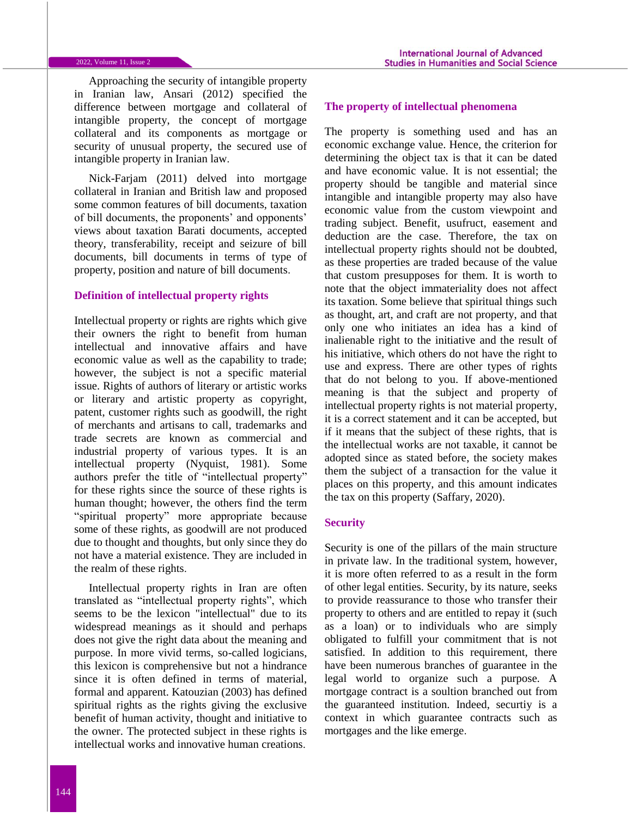Approaching the security of intangible property in Iranian law, Ansari (2012) specified the difference between mortgage and collateral of intangible property, the concept of mortgage collateral and its components as mortgage or security of unusual property, the secured use of intangible property in Iranian law.

Nick-Farjam (2011) delved into mortgage collateral in Iranian and British law and proposed some common features of bill documents, taxation of bill documents, the proponents' and opponents' views about taxation Barati documents, accepted theory, transferability, receipt and seizure of bill documents, bill documents in terms of type of property, position and nature of bill documents.

# **Definition of intellectual property rights**

Intellectual property or rights are rights which give their owners the right to benefit from human intellectual and innovative affairs and have economic value as well as the capability to trade; however, the subject is not a specific material issue. Rights of authors of literary or artistic works or literary and artistic property as copyright, patent, customer rights such as goodwill, the right of merchants and artisans to call, trademarks and trade secrets are known as commercial and industrial property of various types. It is an intellectual property (Nyquist, 1981). Some authors prefer the title of "intellectual property" for these rights since the source of these rights is human thought; however, the others find the term "spiritual property" more appropriate because some of these rights, as goodwill are not produced due to thought and thoughts, but only since they do not have a material existence. They are included in the realm of these rights.

Intellectual property rights in Iran are often translated as "intellectual property rights", which seems to be the lexicon "intellectual" due to its widespread meanings as it should and perhaps does not give the right data about the meaning and purpose. In more vivid terms, so-called logicians, this lexicon is comprehensive but not a hindrance since it is often defined in terms of material, formal and apparent. Katouzian (2003) has defined spiritual rights as the rights giving the exclusive benefit of human activity, thought and initiative to the owner. The protected subject in these rights is intellectual works and innovative human creations.

#### **The property of intellectual phenomena**

The property is something used and has an economic exchange value. Hence, the criterion for determining the object tax is that it can be dated and have economic value. It is not essential; the property should be tangible and material since intangible and intangible property may also have economic value from the custom viewpoint and trading subject. Benefit, usufruct, easement and deduction are the case. Therefore, the tax on intellectual property rights should not be doubted, as these properties are traded because of the value that custom presupposes for them. It is worth to note that the object immateriality does not affect its taxation. Some believe that spiritual things such as thought, art, and craft are not property, and that only one who initiates an idea has a kind of inalienable right to the initiative and the result of his initiative, which others do not have the right to use and express. There are other types of rights that do not belong to you. If above-mentioned meaning is that the subject and property of intellectual property rights is not material property, it is a correct statement and it can be accepted, but if it means that the subject of these rights, that is the intellectual works are not taxable, it cannot be adopted since as stated before, the society makes them the subject of a transaction for the value it places on this property, and this amount indicates the tax on this property (Saffary, 2020).

### **Security**

Security is one of the pillars of the main structure in private law. In the traditional system, however, it is more often referred to as a result in the form of other legal entities. Security, by its nature, seeks to provide reassurance to those who transfer their property to others and are entitled to repay it (such as a loan) or to individuals who are simply obligated to fulfill your commitment that is not satisfied. In addition to this requirement, there have been numerous branches of guarantee in the legal world to organize such a purpose. A mortgage contract is a soultion branched out from the guaranteed institution. Indeed, securtiy is a context in which guarantee contracts such as mortgages and the like emerge.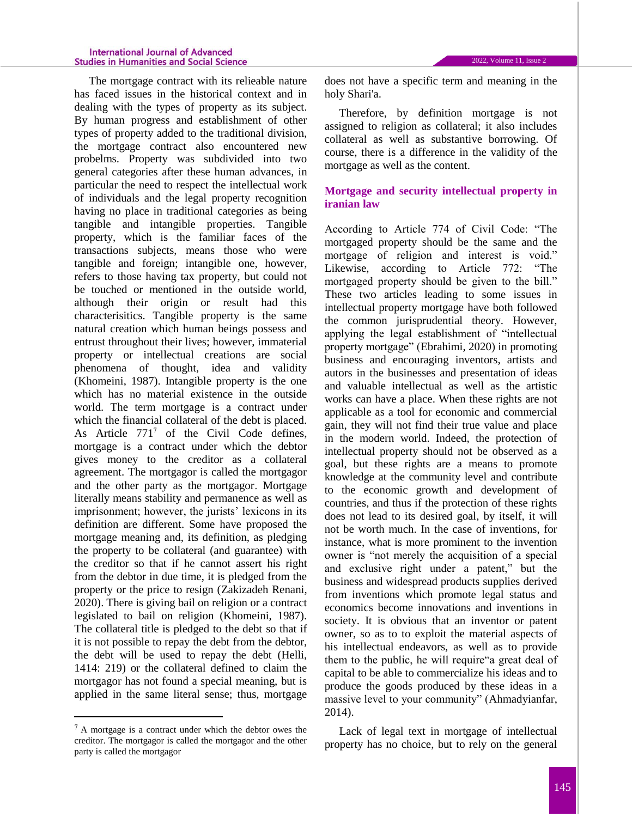#### **International Journal of Advanced Studies in Humanities and Social Science**

The mortgage contract with its relieable nature has faced issues in the historical context and in dealing with the types of property as its subject. By human progress and establishment of other types of property added to the traditional division, the mortgage contract also encountered new probelms. Property was subdivided into two general categories after these human advances, in particular the need to respect the intellectual work of individuals and the legal property recognition having no place in traditional categories as being tangible and intangible properties. Tangible property, which is the familiar faces of the transactions subjects, means those who were tangible and foreign; intangible one, however, refers to those having tax property, but could not be touched or mentioned in the outside world, although their origin or result had this characterisitics. Tangible property is the same natural creation which human beings possess and entrust throughout their lives; however, immaterial property or intellectual creations are social phenomena of thought, idea and validity (Khomeini, 1987). Intangible property is the one which has no material existence in the outside world. The term mortgage is a contract under which the financial collateral of the debt is placed. As Article  $771^7$  of the Civil Code defines, mortgage is a contract under which the debtor gives money to the creditor as a collateral agreement. The mortgagor is called the mortgagor and the other party as the mortgagor. Mortgage literally means stability and permanence as well as imprisonment; however, the jurists' lexicons in its definition are different. Some have proposed the mortgage meaning and, its definition, as pledging the property to be collateral (and guarantee) with the creditor so that if he cannot assert his right from the debtor in due time, it is pledged from the property or the price to resign (Zakizadeh Renani, 2020). There is giving bail on religion or a contract legislated to bail on religion (Khomeini, 1987). The collateral title is pledged to the debt so that if

it is not possible to repay the debt from the debtor, the debt will be used to repay the debt (Helli, 1414: 219) or the collateral defined to claim the mortgagor has not found a special meaning, but is applied in the same literal sense; thus, mortgage

 $\overline{\phantom{a}}$ 

does not have a specific term and meaning in the holy Shari'a.

Therefore, by definition mortgage is not assigned to religion as collateral; it also includes collateral as well as substantive borrowing. Of course, there is a difference in the validity of the mortgage as well as the content.

# **Mortgage and security intellectual property in iranian law**

According to Article 774 of Civil Code: "The mortgaged property should be the same and the mortgage of religion and interest is void." Likewise, according to Article 772: "The mortgaged property should be given to the bill." These two articles leading to some issues in intellectual property mortgage have both followed the common jurisprudential theory. However, applying the legal establishment of "intellectual property mortgage" (Ebrahimi, 2020) in promoting business and encouraging inventors, artists and autors in the businesses and presentation of ideas and valuable intellectual as well as the artistic works can have a place. When these rights are not applicable as a tool for economic and commercial gain, they will not find their true value and place in the modern world. Indeed, the protection of intellectual property should not be observed as a goal, but these rights are a means to promote knowledge at the community level and contribute to the economic growth and development of countries, and thus if the protection of these rights does not lead to its desired goal, by itself, it will not be worth much. In the case of inventions, for instance, what is more prominent to the invention owner is "not merely the acquisition of a special and exclusive right under a patent," but the business and widespread products supplies derived from inventions which promote legal status and economics become innovations and inventions in society. It is obvious that an inventor or patent owner, so as to to exploit the material aspects of his intellectual endeavors, as well as to provide them to the public, he will require"a great deal of capital to be able to commercialize his ideas and to produce the goods produced by these ideas in a massive level to your community" (Ahmadyianfar, 2014).

Lack of legal text in mortgage of intellectual property has no choice, but to rely on the general

<sup>7</sup> A mortgage is a contract under which the debtor owes the creditor. The mortgagor is called the mortgagor and the other party is called the mortgagor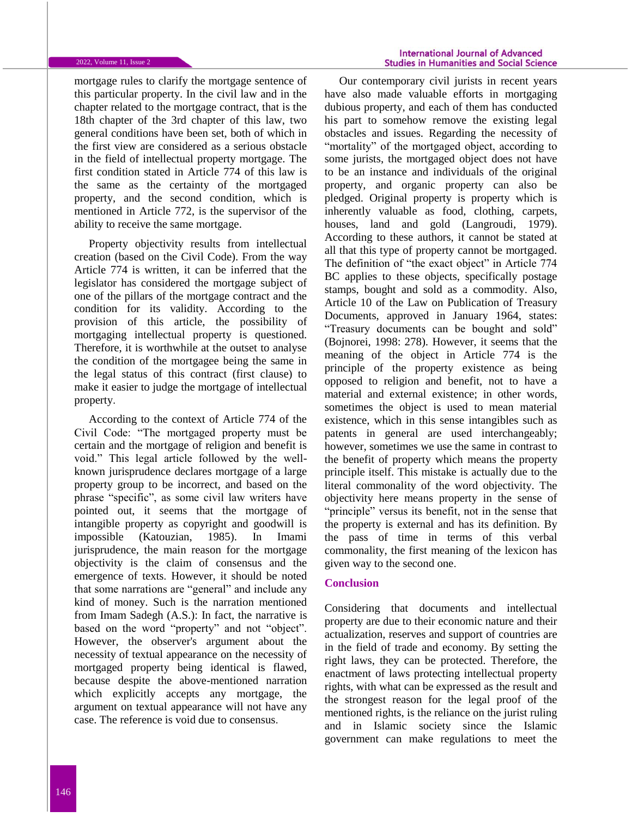mortgage rules to clarify the mortgage sentence of this particular property. In the civil law and in the chapter related to the mortgage contract, that is the 18th chapter of the 3rd chapter of this law, two general conditions have been set, both of which in the first view are considered as a serious obstacle in the field of intellectual property mortgage. The first condition stated in Article 774 of this law is the same as the certainty of the mortgaged property, and the second condition, which is mentioned in Article 772, is the supervisor of the ability to receive the same mortgage.

Property objectivity results from intellectual creation (based on the Civil Code). From the way Article 774 is written, it can be inferred that the legislator has considered the mortgage subject of one of the pillars of the mortgage contract and the condition for its validity. According to the provision of this article, the possibility of mortgaging intellectual property is questioned. Therefore, it is worthwhile at the outset to analyse the condition of the mortgagee being the same in the legal status of this contract (first clause) to make it easier to judge the mortgage of intellectual property.

According to the context of Article 774 of the Civil Code: "The mortgaged property must be certain and the mortgage of religion and benefit is void." This legal article followed by the wellknown jurisprudence declares mortgage of a large property group to be incorrect, and based on the phrase "specific", as some civil law writers have pointed out, it seems that the mortgage of intangible property as copyright and goodwill is impossible (Katouzian, 1985). In Imami jurisprudence, the main reason for the mortgage objectivity is the claim of consensus and the emergence of texts. However, it should be noted that some narrations are "general" and include any kind of money. Such is the narration mentioned from Imam Sadegh (A.S.): In fact, the narrative is based on the word "property" and not "object". However, the observer's argument about the necessity of textual appearance on the necessity of mortgaged property being identical is flawed, because despite the above-mentioned narration which explicitly accepts any mortgage, the argument on textual appearance will not have any case. The reference is void due to consensus.

Our contemporary civil jurists in recent years have also made valuable efforts in mortgaging dubious property, and each of them has conducted his part to somehow remove the existing legal obstacles and issues. Regarding the necessity of "mortality" of the mortgaged object, according to some jurists, the mortgaged object does not have to be an instance and individuals of the original property, and organic property can also be pledged. Original property is property which is inherently valuable as food, clothing, carpets, houses, land and gold (Langroudi, 1979). According to these authors, it cannot be stated at all that this type of property cannot be mortgaged. The definition of "the exact object" in Article 774 BC applies to these objects, specifically postage stamps, bought and sold as a commodity. Also, Article 10 of the Law on Publication of Treasury Documents, approved in January 1964, states: "Treasury documents can be bought and sold" (Bojnorei, 1998: 278). However, it seems that the meaning of the object in Article 774 is the principle of the property existence as being opposed to religion and benefit, not to have a material and external existence; in other words, sometimes the object is used to mean material existence, which in this sense intangibles such as patents in general are used interchangeably; however, sometimes we use the same in contrast to the benefit of property which means the property principle itself. This mistake is actually due to the literal commonality of the word objectivity. The objectivity here means property in the sense of "principle" versus its benefit, not in the sense that the property is external and has its definition. By the pass of time in terms of this verbal commonality, the first meaning of the lexicon has given way to the second one.

#### **Conclusion**

Considering that documents and intellectual property are due to their economic nature and their actualization, reserves and support of countries are in the field of trade and economy. By setting the right laws, they can be protected. Therefore, the enactment of laws protecting intellectual property rights, with what can be expressed as the result and the strongest reason for the legal proof of the mentioned rights, is the reliance on the jurist ruling and in Islamic society since the Islamic government can make regulations to meet the